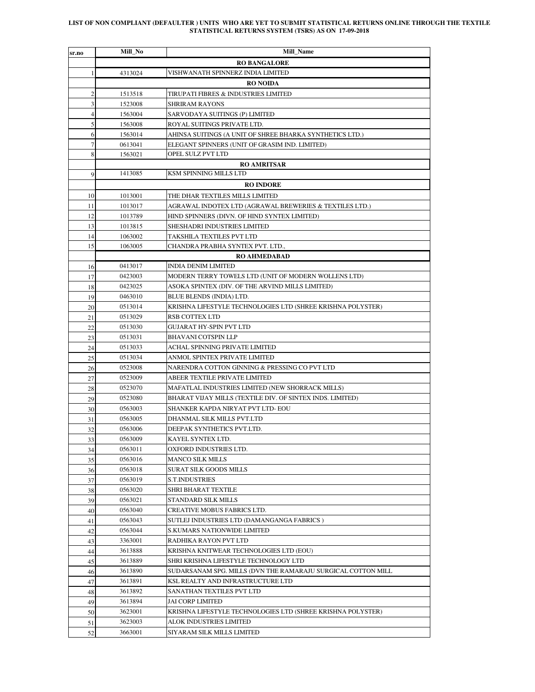## **LIST OF NON COMPLIANT (DEFAULTER ) UNITS WHO ARE YET TO SUBMIT STATISTICAL RETURNS ONLINE THROUGH THE TEXTILE STATISTICAL RETURNS SYSTEM (TSRS) AS ON 17-09-2018**

| sr.no          | Mill_No          | Mill_Name                                                    |  |  |  |
|----------------|------------------|--------------------------------------------------------------|--|--|--|
|                |                  | <b>RO BANGALORE</b>                                          |  |  |  |
| 1              | 4313024          | VISHWANATH SPINNERZ INDIA LIMITED                            |  |  |  |
|                |                  | <b>RO NOIDA</b>                                              |  |  |  |
| $\overline{c}$ | 1513518          | TIRUPATI FIBRES & INDUSTRIES LIMITED                         |  |  |  |
| 3              | 1523008          | SHRIRAM RAYONS                                               |  |  |  |
| $\overline{4}$ | 1563004          | SARVODAYA SUITINGS (P) LIMITED                               |  |  |  |
| 5              | 1563008          | ROYAL SUITINGS PRIVATE LTD.                                  |  |  |  |
| 6              | 1563014          | AHINSA SUITINGS (A UNIT OF SHREE BHARKA SYNTHETICS LTD.)     |  |  |  |
| 7              | 0613041          | ELEGANT SPINNERS (UNIT OF GRASIM IND. LIMITED)               |  |  |  |
| 8              | 1563021          | OPEL SULZ PVT LTD                                            |  |  |  |
|                |                  | <b>RO AMRITSAR</b>                                           |  |  |  |
| 9              | 1413085          | KSM SPINNING MILLS LTD                                       |  |  |  |
|                | <b>RO INDORE</b> |                                                              |  |  |  |
| 10             | 1013001          | THE DHAR TEXTILES MILLS LIMITED                              |  |  |  |
| 11             | 1013017          | AGRAWAL INDOTEX LTD (AGRAWAL BREWERIES & TEXTILES LTD.)      |  |  |  |
| 12             | 1013789          | HIND SPINNERS (DIVN. OF HIND SYNTEX LIMITED)                 |  |  |  |
| 13             | 1013815          | SHESHADRI INDUSTRIES LIMITED                                 |  |  |  |
| 14             | 1063002          | TAKSHILA TEXTILES PVT LTD                                    |  |  |  |
| 15             | 1063005          | CHANDRA PRABHA SYNTEX PVT. LTD.,                             |  |  |  |
|                |                  | <b>RO AHMEDABAD</b>                                          |  |  |  |
| 16             | 0413017          | <b>INDIA DENIM LIMITED</b>                                   |  |  |  |
| 17             | 0423003          | MODERN TERRY TOWELS LTD (UNIT OF MODERN WOLLENS LTD)         |  |  |  |
| 18             | 0423025          | ASOKA SPINTEX (DIV. OF THE ARVIND MILLS LIMITED)             |  |  |  |
| 19             | 0463010          | BLUE BLENDS (INDIA) LTD.                                     |  |  |  |
| 20             | 0513014          | KRISHNA LIFESTYLE TECHNOLOGIES LTD (SHREE KRISHNA POLYSTER)  |  |  |  |
| 21             | 0513029          | <b>RSB COTTEX LTD</b>                                        |  |  |  |
| 22             | 0513030          | GUJARAT HY-SPIN PVT LTD                                      |  |  |  |
| 23             | 0513031          | <b>BHAVANI COTSPIN LLP</b>                                   |  |  |  |
| 24             | 0513033          | ACHAL SPINNING PRIVATE LIMITED                               |  |  |  |
| 25             | 0513034          | ANMOL SPINTEX PRIVATE LIMITED                                |  |  |  |
| 26             | 0523008          | NARENDRA COTTON GINNING & PRESSING CO PVT LTD                |  |  |  |
| 27             | 0523009          | ABEER TEXTILE PRIVATE LIMITED                                |  |  |  |
| 28             | 0523070          | MAFATLAL INDUSTRIES LIMITED (NEW SHORRACK MILLS)             |  |  |  |
| 29             | 0523080          | BHARAT VIJAY MILLS (TEXTILE DIV. OF SINTEX INDS. LIMITED)    |  |  |  |
| 30             | 0563003          | SHANKER KAPDA NIRYAT PVT LTD-EOU                             |  |  |  |
| 31             | 0563005          | DHANMAL SILK MILLS PVT.LTD                                   |  |  |  |
| 32             | 0563006          | DEEPAK SYNTHETICS PVT.LTD.                                   |  |  |  |
| 33             | 0563009          | KAYEL SYNTEX LTD.                                            |  |  |  |
| 34             | 0563011          | OXFORD INDUSTRIES LTD.                                       |  |  |  |
| 35             | 0563016          | <b>MANCO SILK MILLS</b>                                      |  |  |  |
| 36             | 0563018          | SURAT SILK GOODS MILLS                                       |  |  |  |
| 37             | 0563019          | <b>S.T.INDUSTRIES</b>                                        |  |  |  |
| 38             | 0563020          | SHRI BHARAT TEXTILE                                          |  |  |  |
| 39             | 0563021          | STANDARD SILK MILLS                                          |  |  |  |
| 40             | 0563040          | CREATIVE MOBUS FABRICS LTD.                                  |  |  |  |
| 41             | 0563043          | SUTLEJ INDUSTRIES LTD (DAMANGANGA FABRICS)                   |  |  |  |
| 42             | 0563044          | <b>S.KUMARS NATIONWIDE LIMITED</b>                           |  |  |  |
| 43             | 3363001          | RADHIKA RAYON PVT LTD                                        |  |  |  |
| 44             | 3613888          | KRISHNA KNITWEAR TECHNOLOGIES LTD (EOU)                      |  |  |  |
| 45             | 3613889          | SHRI KRISHNA LIFESTYLE TECHNOLOGY LTD                        |  |  |  |
| 46             | 3613890          | SUDARSANAM SPG. MILLS (DVN THE RAMARAJU SURGICAL COTTON MILL |  |  |  |
| 47             | 3613891          | KSL REALTY AND INFRASTRUCTURE LTD                            |  |  |  |
| 48             | 3613892          | SANATHAN TEXTILES PVT LTD                                    |  |  |  |
| 49             | 3613894          | JAI CORP LIMITED                                             |  |  |  |
| 50             | 3623001          | KRISHNA LIFESTYLE TECHNOLOGIES LTD (SHREE KRISHNA POLYSTER)  |  |  |  |
| 51             | 3623003          | ALOK INDUSTRIES LIMITED                                      |  |  |  |
| 52             | 3663001          | SIYARAM SILK MILLS LIMITED                                   |  |  |  |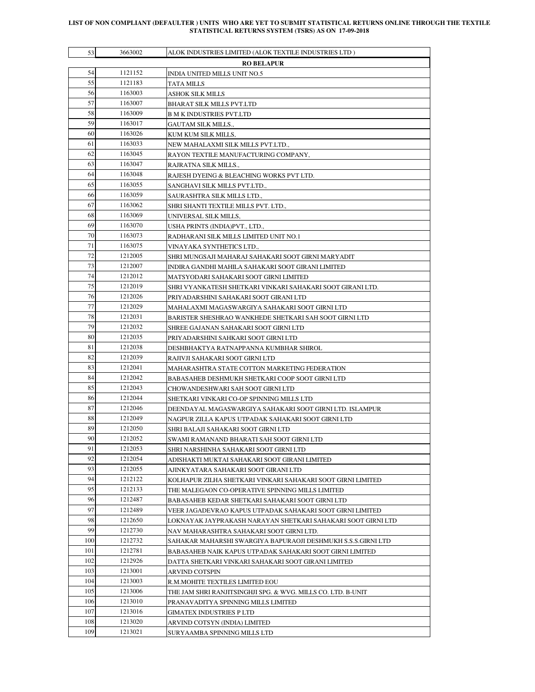## **LIST OF NON COMPLIANT (DEFAULTER ) UNITS WHO ARE YET TO SUBMIT STATISTICAL RETURNS ONLINE THROUGH THE TEXTILE STATISTICAL RETURNS SYSTEM (TSRS) AS ON 17-09-2018**

| 53                | 3663002            | ALOK INDUSTRIES LIMITED (ALOK TEXTILE INDUSTRIES LTD )                           |  |  |
|-------------------|--------------------|----------------------------------------------------------------------------------|--|--|
| <b>RO BELAPUR</b> |                    |                                                                                  |  |  |
| 54                | 1121152            | INDIA UNITED MILLS UNIT NO.5                                                     |  |  |
| 55                | 1121183            | TATA MILLS                                                                       |  |  |
| 56                | 1163003            | ASHOK SILK MILLS                                                                 |  |  |
| 57                | 1163007            | BHARAT SILK MILLS PVT.LTD                                                        |  |  |
| 58                | 1163009            | <b>B M K INDUSTRIES PVT.LTD</b>                                                  |  |  |
| 59                | 1163017            | GAUTAM SILK MILLS.,                                                              |  |  |
| 60                | 1163026            | KUM KUM SILK MILLS,                                                              |  |  |
| 61                | 1163033            | NEW MAHALAXMI SILK MILLS PVT.LTD.,                                               |  |  |
| 62                | 1163045            | RAYON TEXTILE MANUFACTURING COMPANY,                                             |  |  |
| 63                | 1163047            | RAJRATNA SILK MILLS.,                                                            |  |  |
| 64                | 1163048            | RAJESH DYEING & BLEACHING WORKS PVT LTD.                                         |  |  |
| 65                | 1163055            | SANGHAVI SILK MILLS PVT.LTD.,                                                    |  |  |
| 66                | 1163059            | SAURASHTRA SILK MILLS LTD.,                                                      |  |  |
| 67                | 1163062            | SHRI SHANTI TEXTILE MILLS PVT. LTD.,                                             |  |  |
| 68                | 1163069            | UNIVERSAL SILK MILLS.                                                            |  |  |
| 69                | 1163070            | USHA PRINTS (INDIA)PVT., LTD.,                                                   |  |  |
| 70                | 1163073            | RADHARANI SILK MILLS LIMITED UNIT NO.1                                           |  |  |
| 71                | 1163075            | VINAYAKA SYNTHETICS LTD.,                                                        |  |  |
| 72                | 1212005            | SHRI MUNGSAJI MAHARAJ SAHAKARI SOOT GIRNI MARYADIT                               |  |  |
| 73                | 1212007            | INDIRA GANDHI MAHILA SAHAKARI SOOT GIRANI LIMITED                                |  |  |
| 74                | 1212012            | MATSYODARI SAHAKARI SOOT GIRNI LIMITED                                           |  |  |
| 75                | 1212019            | SHRI VYANKATESH SHETKARI VINKARI SAHAKARI SOOT GIRANI LTD.                       |  |  |
| 76                | 1212026            | PRIYADARSHINI SAHAKARI SOOT GIRANI LTD                                           |  |  |
| 77                | 1212029            | MAHALAXMI MAGASWARGIYA SAHAKARI SOOT GIRNI LTD                                   |  |  |
| 78                | 1212031            | BARISTER SHESHRAO WANKHEDE SHETKARI SAH SOOT GIRNI LTD                           |  |  |
| 79                | 1212032            | SHREE GAJANAN SAHAKARI SOOT GIRNI LTD                                            |  |  |
| 80                | 1212035            | PRIYADARSHINI SAHKARI SOOT GIRNI LTD                                             |  |  |
| 81                | 1212038            | DESHBHAKTYA RATNAPPANNA KUMBHAR SHIROL                                           |  |  |
| 82                | 1212039            | RAJIVJI SAHAKARI SOOT GIRNI LTD                                                  |  |  |
| 83                | 1212041            | MAHARASHTRA STATE COTTON MARKETING FEDERATION                                    |  |  |
| 84                | 1212042            | BABASAHEB DESHMUKH SHETKARI COOP SOOT GIRNI LTD                                  |  |  |
| 85<br>86          | 1212043<br>1212044 | CHOWANDESHWARI SAH SOOT GIRNI LTD                                                |  |  |
| 87                | 1212046            | SHETKARI VINKARI CO-OP SPINNING MILLS LTD                                        |  |  |
| 88                | 1212049            | DEENDAYAL MAGASWARGIYA SAHAKARI SOOT GIRNI LTD. ISLAMPUR                         |  |  |
| 89                | 1212050            | NAGPUR ZILLA KAPUS UTPADAK SAHAKARI SOOT GIRNI LTD                               |  |  |
| 90                | 1212052            | SHRI BALAJI SAHAKARI SOOT GIRNI LTD<br>SWAMI RAMANAND BHARATI SAH SOOT GIRNI LTD |  |  |
| 91                | 1212053            | SHRI NARSHINHA SAHAKARI SOOT GIRNI LTD                                           |  |  |
| 92                | 1212054            | ADISHAKTI MUKTAI SAHAKARI SOOT GIRANI LIMITED                                    |  |  |
| 93                | 1212055            | AJINKYATARA SAHAKARI SOOT GIRANI LTD                                             |  |  |
| 94                | 1212122            | KOLHAPUR ZILHA SHETKARI VINKARI SAHAKARI SOOT GIRNI LIMITED                      |  |  |
| 95                | 1212133            | THE MALEGAON CO-OPERATIVE SPINNING MILLS LIMITED                                 |  |  |
| 96                | 1212487            | BABASAHEB KEDAR SHETKARI SAHAKARI SOOT GIRNI LTD                                 |  |  |
| 97                | 1212489            | VEER JAGADEVRAO KAPUS UTPADAK SAHAKARI SOOT GIRNI LIMITED                        |  |  |
| 98                | 1212650            | LOKNAYAK JAYPRAKASH NARAYAN SHETKARI SAHAKARI SOOT GIRNI LTD                     |  |  |
| 99                | 1212730            | NAV MAHARASHTRA SAHAKARI SOOT GIRNI LTD.                                         |  |  |
| 100               | 1212732            | SAHAKAR MAHARSHI SWARGIYA BAPURAOJI DESHMUKH S.S.S.GIRNI LTD                     |  |  |
| 101               | 1212781            | BABASAHEB NAIK KAPUS UTPADAK SAHAKARI SOOT GIRNI LIMITED                         |  |  |
| 102               | 1212926            | DATTA SHETKARI VINKARI SAHAKARI SOOT GIRANI LIMITED                              |  |  |
| 103               | 1213001            | ARVIND COTSPIN                                                                   |  |  |
| 104               | 1213003            | R.M.MOHITE TEXTILES LIMITED EOU                                                  |  |  |
| 105               | 1213006            | THE JAM SHRI RANJITSINGHJI SPG. & WVG. MILLS CO. LTD. B-UNIT                     |  |  |
| 106               | 1213010            | PRANAVADITYA SPINNING MILLS LIMITED                                              |  |  |
| 107               | 1213016            | GIMATEX INDUSTRIES P LTD                                                         |  |  |
| 108               | 1213020            | ARVIND COTSYN (INDIA) LIMITED                                                    |  |  |
| 109               | 1213021            | SURYAAMBA SPINNING MILLS LTD                                                     |  |  |